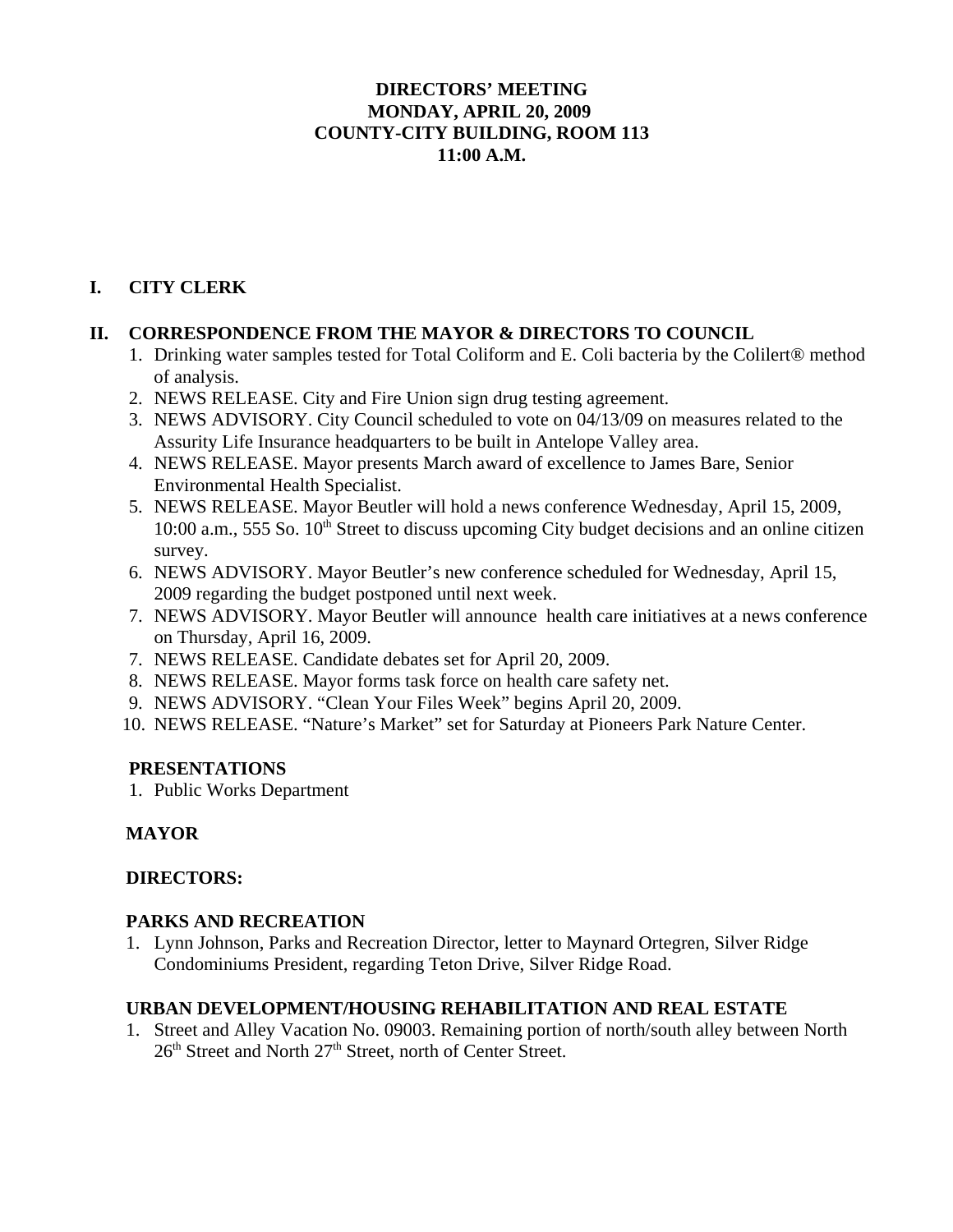## **DIRECTORS' MEETING MONDAY, APRIL 20, 2009 COUNTY-CITY BUILDING, ROOM 113 11:00 A.M.**

## **I. CITY CLERK**

## **II. CORRESPONDENCE FROM THE MAYOR & DIRECTORS TO COUNCIL**

- 1. Drinking water samples tested for Total Coliform and E. Coli bacteria by the Colilert® method of analysis.
- 2. NEWS RELEASE. City and Fire Union sign drug testing agreement.
- 3. NEWS ADVISORY. City Council scheduled to vote on 04/13/09 on measures related to the Assurity Life Insurance headquarters to be built in Antelope Valley area.
- 4. NEWS RELEASE. Mayor presents March award of excellence to James Bare, Senior Environmental Health Specialist.
- 5. NEWS RELEASE. Mayor Beutler will hold a news conference Wednesday, April 15, 2009,  $10:00$  a.m., 555 So.  $10<sup>th</sup>$  Street to discuss upcoming City budget decisions and an online citizen survey.
- 6. NEWS ADVISORY. Mayor Beutler's new conference scheduled for Wednesday, April 15, 2009 regarding the budget postponed until next week.
- 7. NEWS ADVISORY. Mayor Beutler will announce health care initiatives at a news conference on Thursday, April 16, 2009.
- 7. NEWS RELEASE. Candidate debates set for April 20, 2009.
- 8. NEWS RELEASE. Mayor forms task force on health care safety net.
- 9. NEWS ADVISORY. "Clean Your Files Week" begins April 20, 2009.
- 10. NEWS RELEASE. "Nature's Market" set for Saturday at Pioneers Park Nature Center.

#### **PRESENTATIONS**

1. Public Works Department

## **MAYOR**

#### **DIRECTORS:**

#### **PARKS AND RECREATION**

1. Lynn Johnson, Parks and Recreation Director, letter to Maynard Ortegren, Silver Ridge Condominiums President, regarding Teton Drive, Silver Ridge Road.

#### **URBAN DEVELOPMENT/HOUSING REHABILITATION AND REAL ESTATE**

1. Street and Alley Vacation No. 09003. Remaining portion of north/south alley between North 26<sup>th</sup> Street and North 27<sup>th</sup> Street, north of Center Street.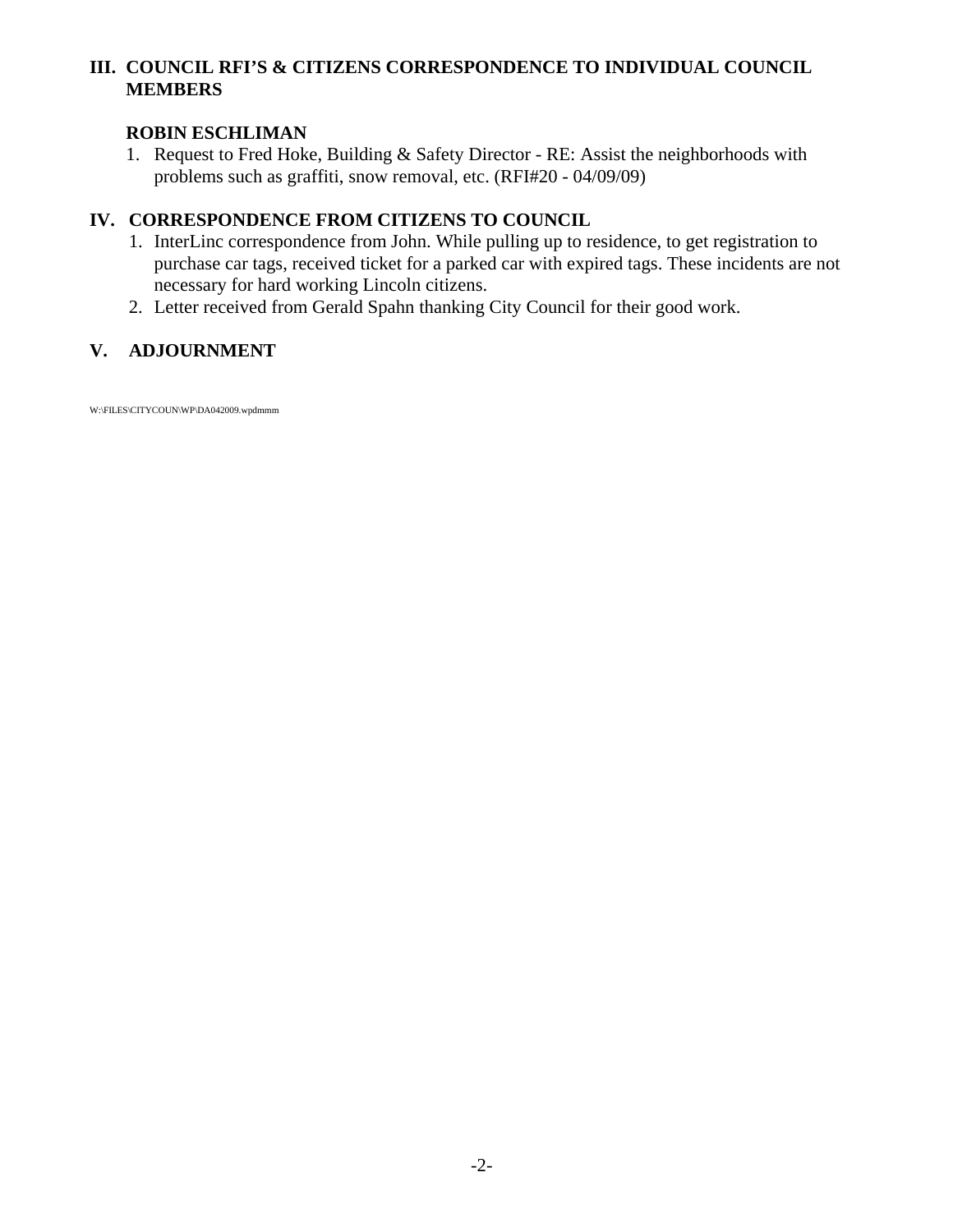## **III. COUNCIL RFI'S & CITIZENS CORRESPONDENCE TO INDIVIDUAL COUNCIL MEMBERS**

## **ROBIN ESCHLIMAN**

1. Request to Fred Hoke, Building & Safety Director - RE: Assist the neighborhoods with problems such as graffiti, snow removal, etc. (RFI#20 - 04/09/09)

# **IV. CORRESPONDENCE FROM CITIZENS TO COUNCIL**

- 1. InterLinc correspondence from John. While pulling up to residence, to get registration to purchase car tags, received ticket for a parked car with expired tags. These incidents are not necessary for hard working Lincoln citizens.
- 2. Letter received from Gerald Spahn thanking City Council for their good work.

# **V. ADJOURNMENT**

W:\FILES\CITYCOUN\WP\DA042009.wpdmmm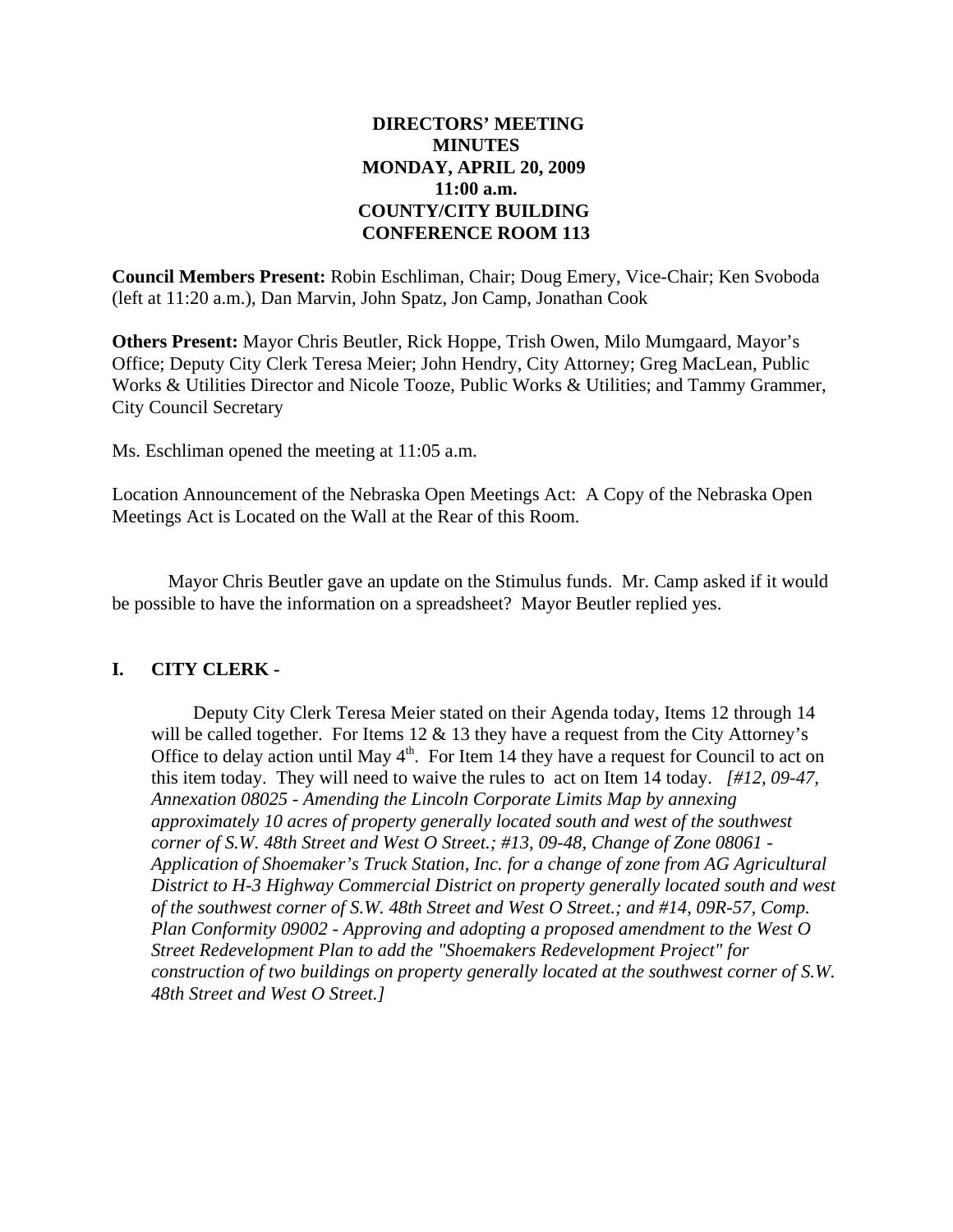## **DIRECTORS' MEETING MINUTES MONDAY, APRIL 20, 2009 11:00 a.m. COUNTY/CITY BUILDING CONFERENCE ROOM 113**

**Council Members Present:** Robin Eschliman, Chair; Doug Emery, Vice-Chair; Ken Svoboda (left at 11:20 a.m.), Dan Marvin, John Spatz, Jon Camp, Jonathan Cook

**Others Present:** Mayor Chris Beutler, Rick Hoppe, Trish Owen, Milo Mumgaard, Mayor's Office; Deputy City Clerk Teresa Meier; John Hendry, City Attorney; Greg MacLean, Public Works & Utilities Director and Nicole Tooze, Public Works & Utilities; and Tammy Grammer, City Council Secretary

Ms. Eschliman opened the meeting at 11:05 a.m.

Location Announcement of the Nebraska Open Meetings Act: A Copy of the Nebraska Open Meetings Act is Located on the Wall at the Rear of this Room.

Mayor Chris Beutler gave an update on the Stimulus funds. Mr. Camp asked if it would be possible to have the information on a spreadsheet? Mayor Beutler replied yes.

#### **I. CITY CLERK -**

Deputy City Clerk Teresa Meier stated on their Agenda today, Items 12 through 14 will be called together. For Items  $12 \& 13$  they have a request from the City Attorney's Office to delay action until May  $4<sup>th</sup>$ . For Item 14 they have a request for Council to act on this item today. They will need to waive the rules to act on Item 14 today. *[#12, 09-47, Annexation 08025 - Amending the Lincoln Corporate Limits Map by annexing approximately 10 acres of property generally located south and west of the southwest corner of S.W. 48th Street and West O Street.; #13, 09-48, Change of Zone 08061 - Application of Shoemaker's Truck Station, Inc. for a change of zone from AG Agricultural District to H-3 Highway Commercial District on property generally located south and west of the southwest corner of S.W. 48th Street and West O Street.; and #14, 09R-57, Comp. Plan Conformity 09002 - Approving and adopting a proposed amendment to the West O Street Redevelopment Plan to add the "Shoemakers Redevelopment Project" for construction of two buildings on property generally located at the southwest corner of S.W. 48th Street and West O Street.]*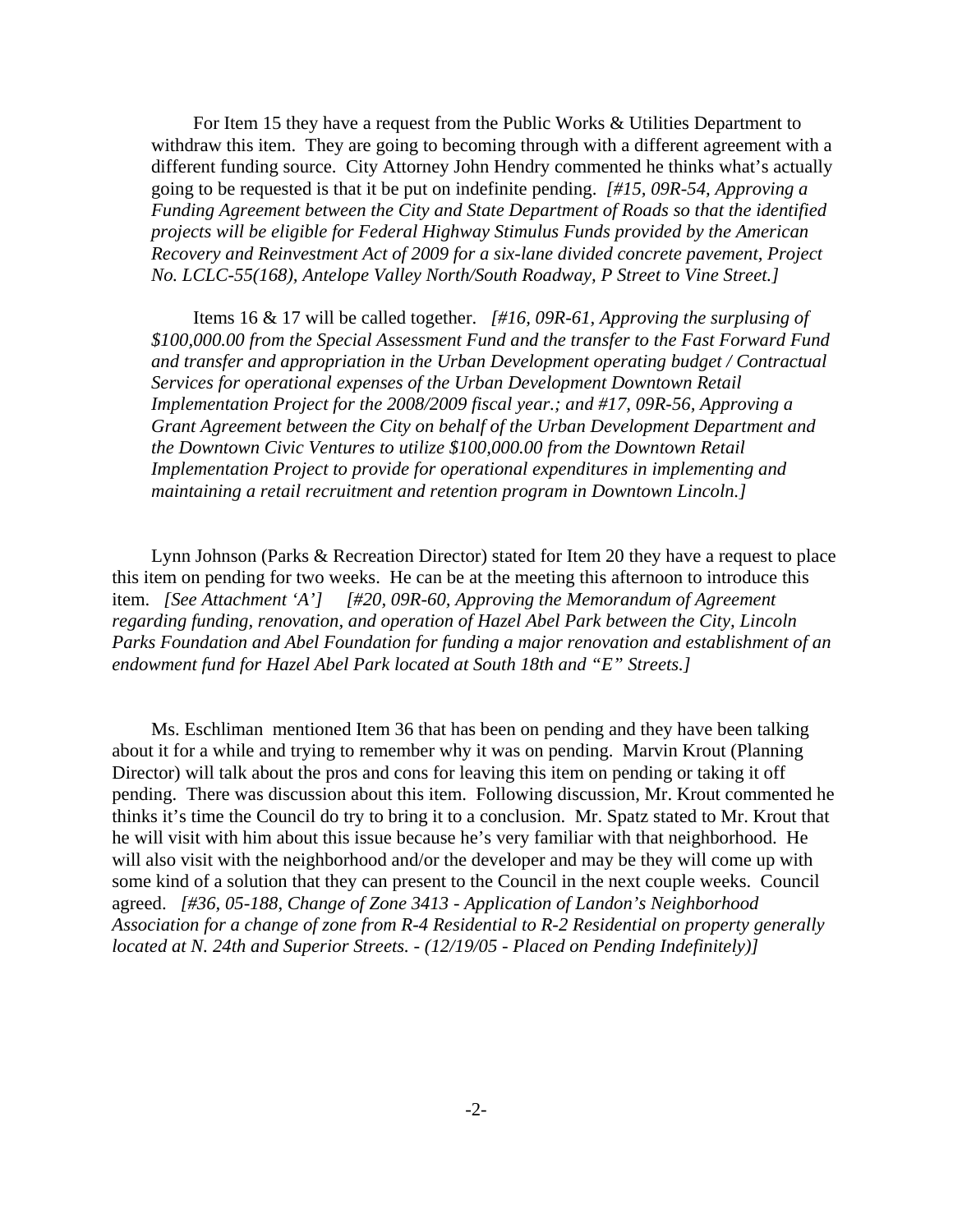For Item 15 they have a request from the Public Works & Utilities Department to withdraw this item. They are going to becoming through with a different agreement with a different funding source. City Attorney John Hendry commented he thinks what's actually going to be requested is that it be put on indefinite pending. *[#15, 09R-54, Approving a Funding Agreement between the City and State Department of Roads so that the identified projects will be eligible for Federal Highway Stimulus Funds provided by the American Recovery and Reinvestment Act of 2009 for a six-lane divided concrete pavement, Project No. LCLC-55(168), Antelope Valley North/South Roadway, P Street to Vine Street.]*

Items 16 & 17 will be called together. *[#16, 09R-61, Approving the surplusing of \$100,000.00 from the Special Assessment Fund and the transfer to the Fast Forward Fund and transfer and appropriation in the Urban Development operating budget / Contractual Services for operational expenses of the Urban Development Downtown Retail Implementation Project for the 2008/2009 fiscal year.; and #17, 09R-56, Approving a Grant Agreement between the City on behalf of the Urban Development Department and the Downtown Civic Ventures to utilize \$100,000.00 from the Downtown Retail Implementation Project to provide for operational expenditures in implementing and maintaining a retail recruitment and retention program in Downtown Lincoln.]*

Lynn Johnson (Parks & Recreation Director) stated for Item 20 they have a request to place this item on pending for two weeks. He can be at the meeting this afternoon to introduce this item. *[See Attachment 'A'] [#20, 09R-60, Approving the Memorandum of Agreement regarding funding, renovation, and operation of Hazel Abel Park between the City, Lincoln Parks Foundation and Abel Foundation for funding a major renovation and establishment of an endowment fund for Hazel Abel Park located at South 18th and "E" Streets.]*

Ms. Eschliman mentioned Item 36 that has been on pending and they have been talking about it for a while and trying to remember why it was on pending. Marvin Krout (Planning Director) will talk about the pros and cons for leaving this item on pending or taking it off pending. There was discussion about this item. Following discussion, Mr. Krout commented he thinks it's time the Council do try to bring it to a conclusion. Mr. Spatz stated to Mr. Krout that he will visit with him about this issue because he's very familiar with that neighborhood. He will also visit with the neighborhood and/or the developer and may be they will come up with some kind of a solution that they can present to the Council in the next couple weeks. Council agreed. *[#36, 05-188, Change of Zone 3413 - Application of Landon's Neighborhood Association for a change of zone from R-4 Residential to R-2 Residential on property generally located at N. 24th and Superior Streets. - (12/19/05 - Placed on Pending Indefinitely)]*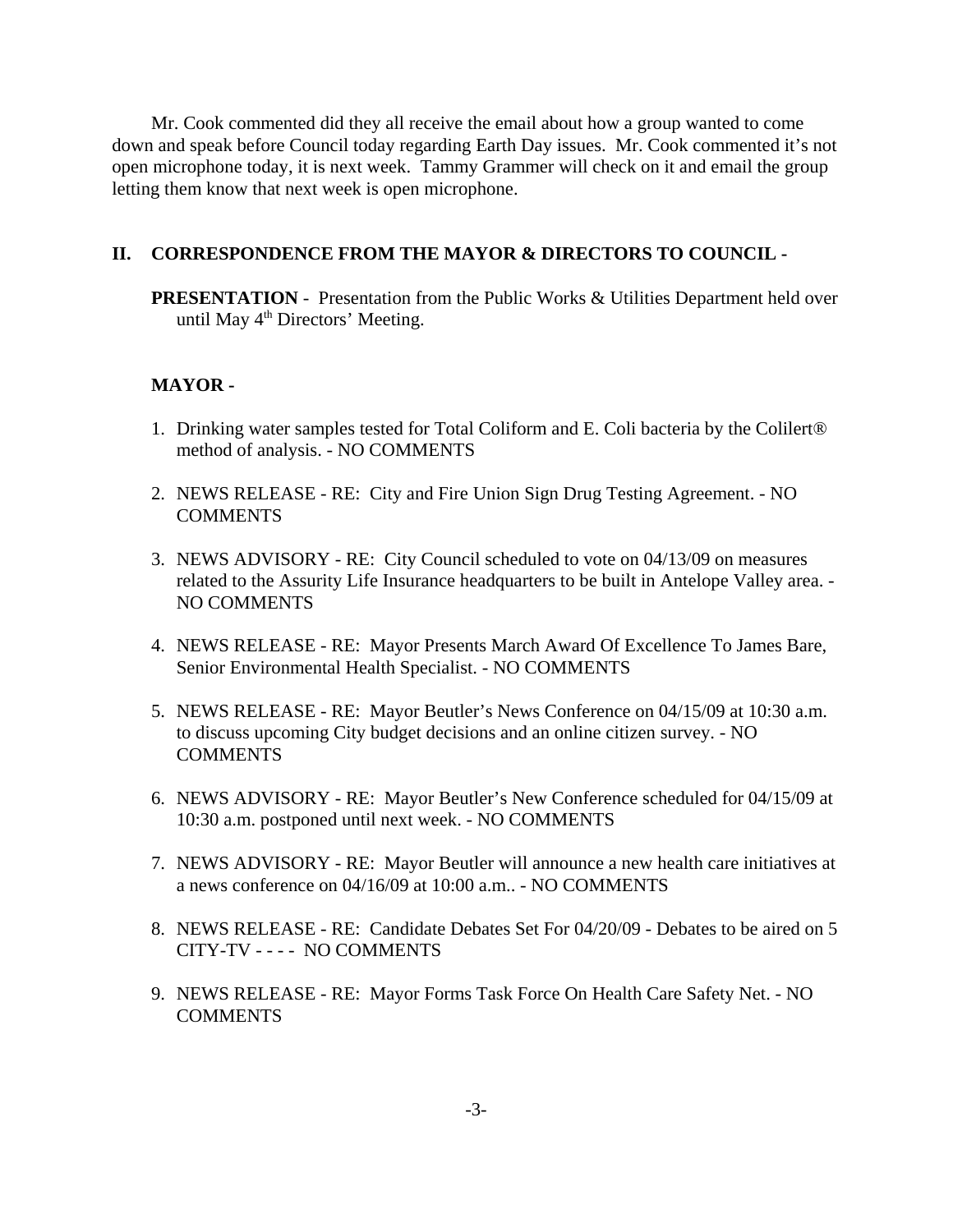Mr. Cook commented did they all receive the email about how a group wanted to come down and speak before Council today regarding Earth Day issues. Mr. Cook commented it's not open microphone today, it is next week. Tammy Grammer will check on it and email the group letting them know that next week is open microphone.

#### **II. CORRESPONDENCE FROM THE MAYOR & DIRECTORS TO COUNCIL -**

**PRESENTATION** - Presentation from the Public Works & Utilities Department held over until May 4<sup>th</sup> Directors' Meeting.

### **MAYOR -**

- 1. Drinking water samples tested for Total Coliform and E. Coli bacteria by the Colilert® method of analysis. - NO COMMENTS
- 2. NEWS RELEASE RE: City and Fire Union Sign Drug Testing Agreement. NO **COMMENTS**
- 3. NEWS ADVISORY RE: City Council scheduled to vote on 04/13/09 on measures related to the Assurity Life Insurance headquarters to be built in Antelope Valley area. - NO COMMENTS
- 4. NEWS RELEASE RE: Mayor Presents March Award Of Excellence To James Bare, Senior Environmental Health Specialist. - NO COMMENTS
- 5. NEWS RELEASE RE: Mayor Beutler's News Conference on 04/15/09 at 10:30 a.m. to discuss upcoming City budget decisions and an online citizen survey. - NO **COMMENTS**
- 6. NEWS ADVISORY RE: Mayor Beutler's New Conference scheduled for 04/15/09 at 10:30 a.m. postponed until next week. - NO COMMENTS
- 7. NEWS ADVISORY RE: Mayor Beutler will announce a new health care initiatives at a news conference on 04/16/09 at 10:00 a.m.. - NO COMMENTS
- 8. NEWS RELEASE RE: Candidate Debates Set For 04/20/09 Debates to be aired on 5 CITY-TV - - - - NO COMMENTS
- 9. NEWS RELEASE RE: Mayor Forms Task Force On Health Care Safety Net. NO **COMMENTS**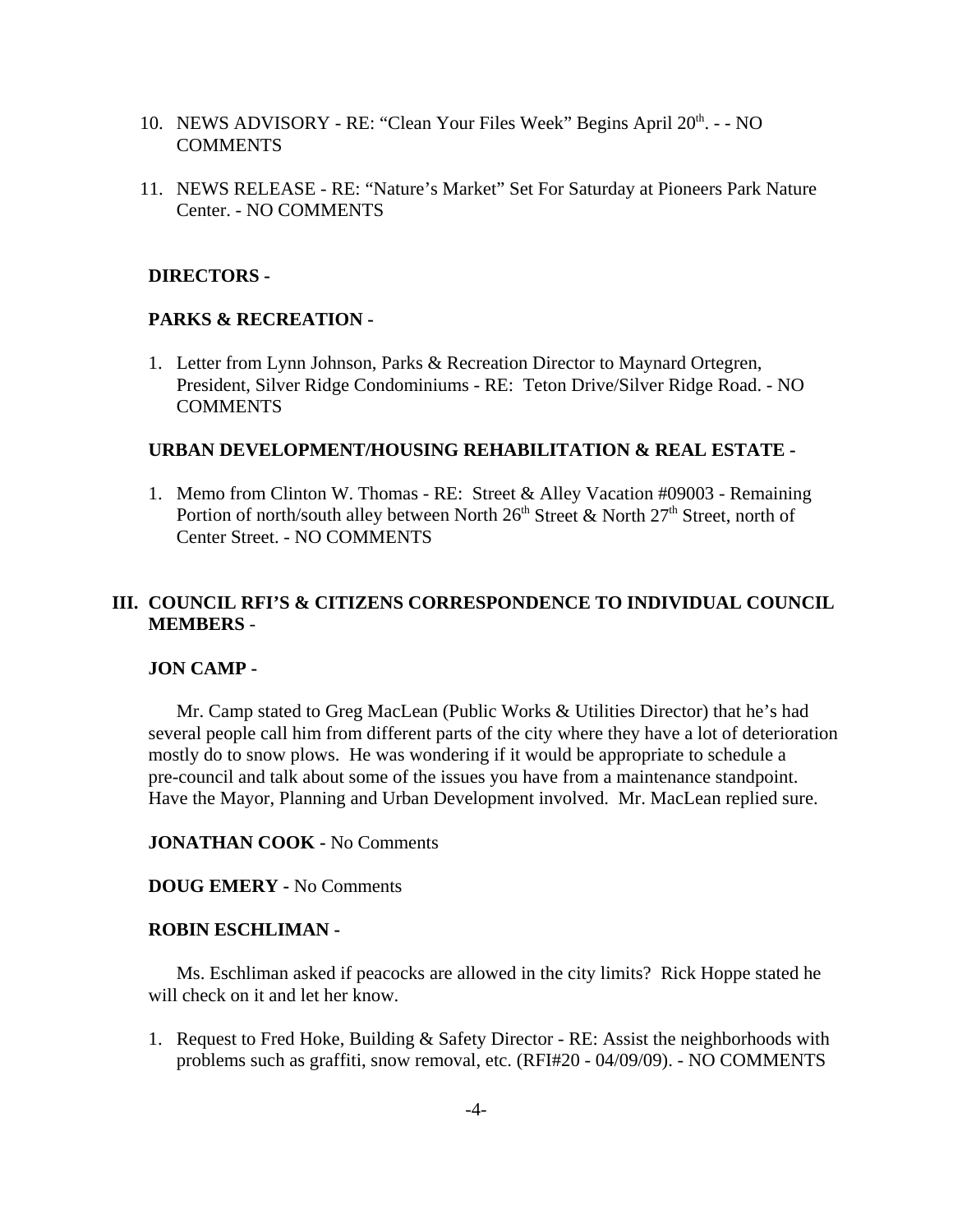- 10. NEWS ADVISORY RE: "Clean Your Files Week" Begins April 20<sup>th</sup>. - NO COMMENTS
- 11. NEWS RELEASE RE: "Nature's Market" Set For Saturday at Pioneers Park Nature Center. - NO COMMENTS

### **DIRECTORS -**

#### **PARKS & RECREATION -**

1. Letter from Lynn Johnson, Parks & Recreation Director to Maynard Ortegren, President, Silver Ridge Condominiums - RE: Teton Drive/Silver Ridge Road. - NO **COMMENTS** 

#### **URBAN DEVELOPMENT/HOUSING REHABILITATION & REAL ESTATE -**

1. Memo from Clinton W. Thomas - RE: Street & Alley Vacation #09003 - Remaining Portion of north/south alley between North  $26<sup>th</sup>$  Street & North  $27<sup>th</sup>$  Street, north of Center Street. - NO COMMENTS

## **III. COUNCIL RFI'S & CITIZENS CORRESPONDENCE TO INDIVIDUAL COUNCIL MEMBERS** -

### **JON CAMP -**

Mr. Camp stated to Greg MacLean (Public Works & Utilities Director) that he's had several people call him from different parts of the city where they have a lot of deterioration mostly do to snow plows. He was wondering if it would be appropriate to schedule a pre-council and talk about some of the issues you have from a maintenance standpoint. Have the Mayor, Planning and Urban Development involved. Mr. MacLean replied sure.

#### **JONATHAN COOK -** No Comments

**DOUG EMERY -** No Comments

#### **ROBIN ESCHLIMAN -**

Ms. Eschliman asked if peacocks are allowed in the city limits? Rick Hoppe stated he will check on it and let her know.

1. Request to Fred Hoke, Building & Safety Director - RE: Assist the neighborhoods with problems such as graffiti, snow removal, etc. (RFI#20 - 04/09/09). - NO COMMENTS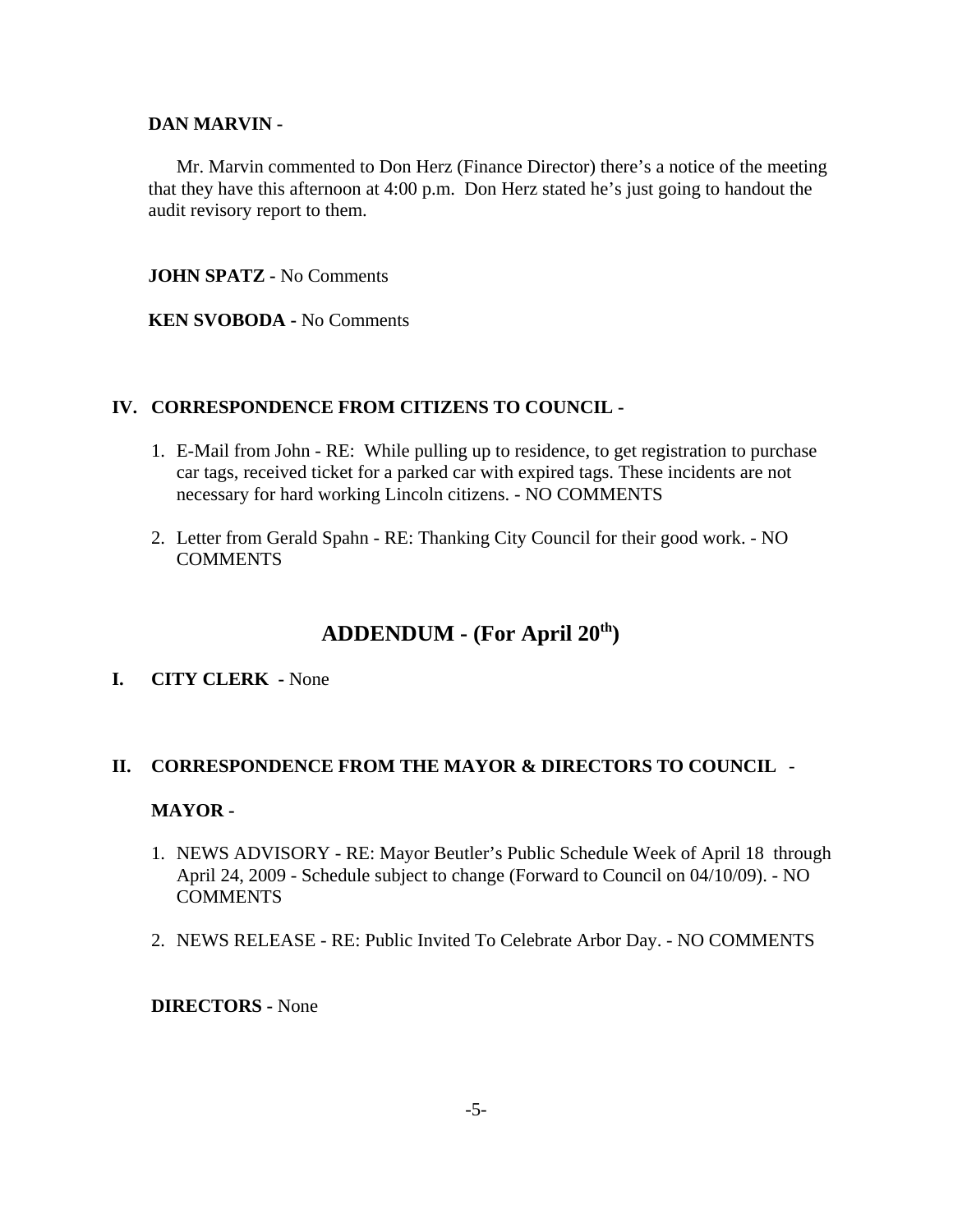### **DAN MARVIN -**

Mr. Marvin commented to Don Herz (Finance Director) there's a notice of the meeting that they have this afternoon at 4:00 p.m. Don Herz stated he's just going to handout the audit revisory report to them.

**JOHN SPATZ -** No Comments

**KEN SVOBODA -** No Comments

## **IV. CORRESPONDENCE FROM CITIZENS TO COUNCIL -**

- 1. E-Mail from John RE: While pulling up to residence, to get registration to purchase car tags, received ticket for a parked car with expired tags. These incidents are not necessary for hard working Lincoln citizens. - NO COMMENTS
- 2. Letter from Gerald Spahn RE: Thanking City Council for their good work. NO **COMMENTS**

# **ADDENDUM - (For April 20th)**

**I. CITY CLERK -** None

## **II. CORRESPONDENCE FROM THE MAYOR & DIRECTORS TO COUNCIL** -

## **MAYOR -**

- 1. NEWS ADVISORY RE: Mayor Beutler's Public Schedule Week of April 18 through April 24, 2009 - Schedule subject to change (Forward to Council on 04/10/09). - NO **COMMENTS**
- 2. NEWS RELEASE RE: Public Invited To Celebrate Arbor Day. NO COMMENTS

**DIRECTORS -** None